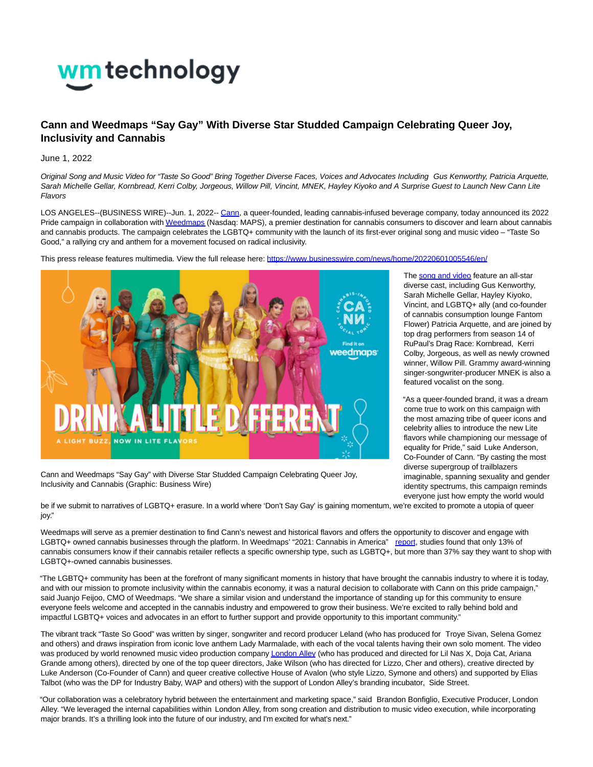

## **Cann and Weedmaps "Say Gay" With Diverse Star Studded Campaign Celebrating Queer Joy, Inclusivity and Cannabis**

June 1, 2022

Original Song and Music Video for "Taste So Good" Bring Together Diverse Faces, Voices and Advocates Including Gus Kenworthy, Patricia Arquette, Sarah Michelle Gellar, Kornbread, Kerri Colby, Jorgeous, Willow Pill, Vincint, MNEK, Hayley Kiyoko and A Surprise Guest to Launch New Cann Lite Flavors

LOS ANGELES--(BUSINESS WIRE)--Jun. 1, 2022-[- Cann,](https://cts.businesswire.com/ct/CT?id=smartlink&url=https%3A%2F%2Fwww.drinkcann.com%2F&esheet=52736028&newsitemid=20220601005546&lan=en-US&anchor=Cann&index=1&md5=4a52052ee85c1c962dcb734834346306) a queer-founded, leading cannabis-infused beverage company, today announced its 2022 Pride campaign in collaboration wit[h Weedmaps \(](https://cts.businesswire.com/ct/CT?id=smartlink&url=https%3A%2F%2Fweedmaps.com%2Fpride-drinkcann&esheet=52736028&newsitemid=20220601005546&lan=en-US&anchor=Weedmaps&index=2&md5=ffa61ab6ecf06bb9dfbc9a69006b8e26)Nasdaq: MAPS), a premier destination for cannabis consumers to discover and learn about cannabis and cannabis products. The campaign celebrates the LGBTQ+ community with the launch of its first-ever original song and music video – "Taste So Good," a rallying cry and anthem for a movement focused on radical inclusivity.

This press release features multimedia. View the full release here:<https://www.businesswire.com/news/home/20220601005546/en/>



Cann and Weedmaps "Say Gay" with Diverse Star Studded Campaign Celebrating Queer Joy, Inclusivity and Cannabis (Graphic: Business Wire)

The [song and video f](https://cts.businesswire.com/ct/CT?id=smartlink&url=https%3A%2F%2Fwww.youtube.com%2Fwatch%3Fv%3DViNALW35WkE&esheet=52736028&newsitemid=20220601005546&lan=en-US&anchor=song+and+video&index=3&md5=6015ff5ad99a64689577593fcad6bbc3)eature an all-star diverse cast, including Gus Kenworthy, Sarah Michelle Gellar, Hayley Kiyoko, Vincint, and LGBTQ+ ally (and co-founder of cannabis consumption lounge Fantom Flower) Patricia Arquette, and are joined by top drag performers from season 14 of RuPaul's Drag Race: Kornbread, Kerri Colby, Jorgeous, as well as newly crowned winner, Willow Pill. Grammy award-winning singer-songwriter-producer MNEK is also a featured vocalist on the song.

"As a queer-founded brand, it was a dream come true to work on this campaign with the most amazing tribe of queer icons and celebrity allies to introduce the new Lite flavors while championing our message of equality for Pride," said Luke Anderson, Co-Founder of Cann. "By casting the most diverse supergroup of trailblazers imaginable, spanning sexuality and gender identity spectrums, this campaign reminds everyone just how empty the world would

be if we submit to narratives of LGBTQ+ erasure. In a world where 'Don't Say Gay' is gaining momentum, we're excited to promote a utopia of queer joy."

Weedmaps will serve as a premier destination to find Cann's newest and historical flavors and offers the opportunity to discover and engage with LGBTQ+ owned cannabis businesses through the platform. In Weedmaps' "2021: Cannabis in America" [report,](https://cts.businesswire.com/ct/CT?id=smartlink&url=https%3A%2F%2Fir.weedmaps.com%2Fstatic-files%2Fad65cfba-abbe-44fa-82cc-c1558f1471dc&esheet=52736028&newsitemid=20220601005546&lan=en-US&anchor=report&index=4&md5=abcbf2a4aac806f450549768227b49b8) studies found that only 13% of cannabis consumers know if their cannabis retailer reflects a specific ownership type, such as LGBTQ+, but more than 37% say they want to shop with LGBTQ+-owned cannabis businesses.

"The LGBTQ+ community has been at the forefront of many significant moments in history that have brought the cannabis industry to where it is today, and with our mission to promote inclusivity within the cannabis economy, it was a natural decision to collaborate with Cann on this pride campaign," said Juanjo Feijoo, CMO of Weedmaps. "We share a similar vision and understand the importance of standing up for this community to ensure everyone feels welcome and accepted in the cannabis industry and empowered to grow their business. We're excited to rally behind bold and impactful LGBTQ+ voices and advocates in an effort to further support and provide opportunity to this important community."

The vibrant track "Taste So Good" was written by singer, songwriter and record producer Leland (who has produced for Troye Sivan, Selena Gomez and others) and draws inspiration from iconic love anthem Lady Marmalade, with each of the vocal talents having their own solo moment. The video was produced by world renowned music video production compan[y London Alley \(](https://cts.businesswire.com/ct/CT?id=smartlink&url=https%3A%2F%2Flondonalley.com%2F&esheet=52736028&newsitemid=20220601005546&lan=en-US&anchor=London+Alley&index=5&md5=7c48b175ff0624859117c056efcb7a5d)who has produced and directed for Lil Nas X, Doja Cat, Ariana Grande among others), directed by one of the top queer directors, Jake Wilson (who has directed for Lizzo, Cher and others), creative directed by Luke Anderson (Co-Founder of Cann) and queer creative collective House of Avalon (who style Lizzo, Symone and others) and supported by Elias Talbot (who was the DP for Industry Baby, WAP and others) with the support of London Alley's branding incubator, Side Street.

"Our collaboration was a celebratory hybrid between the entertainment and marketing space," said Brandon Bonfiglio, Executive Producer, London Alley. "We leveraged the internal capabilities within London Alley, from song creation and distribution to music video execution, while incorporating major brands. It's a thrilling look into the future of our industry, and I'm excited for what's next."